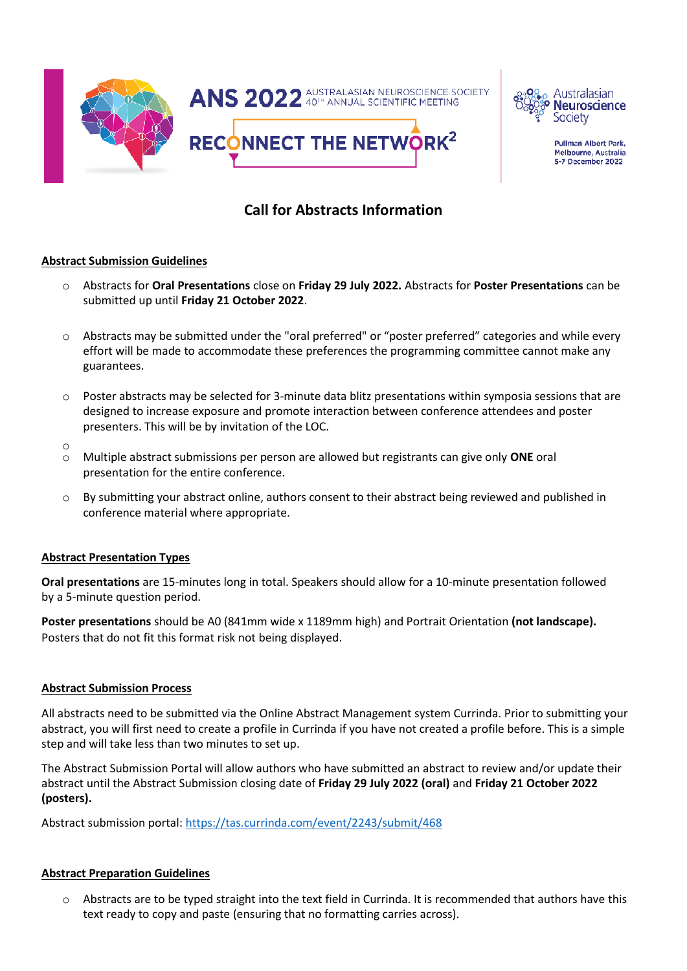



Pullman Albert Park, **Melbourne, Australia** 5-7 December 2022

# **Call for Abstracts Information**

## **Abstract Submission Guidelines**

- o Abstracts for **Oral Presentations** close on **Friday 29 July 2022.** Abstracts for **Poster Presentations** can be submitted up until **Friday 21 October 2022**.
- o Abstracts may be submitted under the "oral preferred" or "poster preferred" categories and while every effort will be made to accommodate these preferences the programming committee cannot make any guarantees.
- o Poster abstracts may be selected for 3-minute data blitz presentations within symposia sessions that are designed to increase exposure and promote interaction between conference attendees and poster presenters. This will be by invitation of the LOC.
- o
- o Multiple abstract submissions per person are allowed but registrants can give only **ONE** oral presentation for the entire conference.
- o By submitting your abstract online, authors consent to their abstract being reviewed and published in conference material where appropriate.

#### **Abstract Presentation Types**

**Oral presentations** are 15-minutes long in total. Speakers should allow for a 10-minute presentation followed by a 5-minute question period.

**Poster presentations** should be A0 (841mm wide x 1189mm high) and Portrait Orientation **(not landscape).**  Posters that do not fit this format risk not being displayed.

## **Abstract Submission Process**

All abstracts need to be submitted via the Online Abstract Management system Currinda. Prior to submitting your abstract, you will first need to create a profile in Currinda if you have not created a profile before. This is a simple step and will take less than two minutes to set up.

The Abstract Submission Portal will allow authors who have submitted an abstract to review and/or update their abstract until the Abstract Submission closing date of **Friday 29 July 2022 (oral)** and **Friday 21 October 2022 (posters).**

Abstract submission portal[: https://tas.currinda.com/event/2243/submit/468](https://tas.currinda.com/event/2243/submit/468)

# **Abstract Preparation Guidelines**

o Abstracts are to be typed straight into the text field in Currinda. It is recommended that authors have this text ready to copy and paste (ensuring that no formatting carries across).